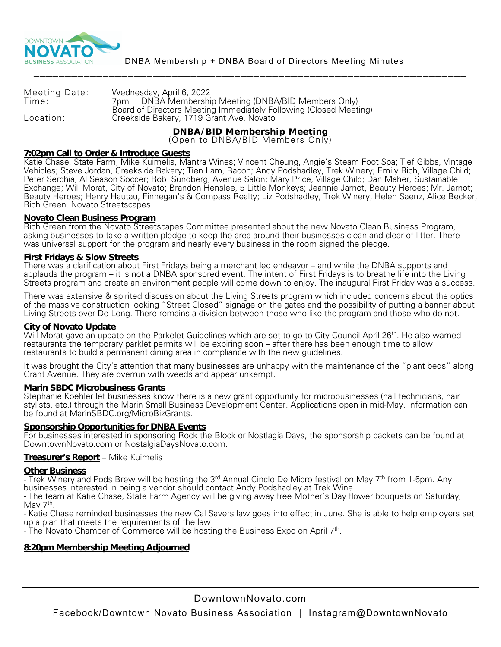

| Meeting Date: | Wednesday, April 6, 2022                                                                                      |
|---------------|---------------------------------------------------------------------------------------------------------------|
| Time:         | 7pm DNBA Membership Meeting (DNBA/BID Members Only)                                                           |
| Location:     | Board of Directors Meeting Immediately Following (Closed Meeting)<br>Creekside Bakery, 1719 Grant Ave, Novato |

**DNBA/BID Membership Meeting** (Open to DNBA/BID Members Only)

**7:02pm Call to Order & Introduce Guests**

Katie Chase, State Farm; Mike Kuimelis, Mantra Wines; Vincent Cheung, Angie's Steam Foot Spa; Tief Gibbs, Vintage Vehicles; Steve Jordan, Creekside Bakery; Tien Lam, Bacon; Andy Podshadley, Trek Winery; Emily Rich, Village Child; Peter Serchia, Al Season Soccer; Rob Sundberg, Avenue Salon; Mary Price, Village Child; Dan Maher, Sustainable Exchange; Will Morat, City of Novato; Brandon Henslee, 5 Little Monkeys; Jeannie Jarnot, Beauty Heroes; Mr. Jarnot; Beauty Heroes; Henry Hautau, Finnegan's & Compass Realty; Liz Podshadley, Trek Winery; Helen Saenz, Alice Becker; Rich Green, Novato Streetscapes.

# **Novato Clean Business Program**

Rich Green from the Novato Streetscapes Committee presented about the new Novato Clean Business Program, asking businesses to take a written pledge to keep the area around their businesses clean and clear of litter. There was universal support for the program and nearly every business in the room signed the pledge.

## **First Fridays & Slow Streets**

There was a clarification about First Fridays being a merchant led endeavor – and while the DNBA supports and applauds the program – it is not a DNBA sponsored event. The intent of First Fridays is to breathe life into the Living Streets program and create an environment people will come down to enjoy. The inaugural First Friday was a success.

There was extensive & spirited discussion about the Living Streets program which included concerns about the optics of the massive construction looking "Street Closed" signage on the gates and the possibility of putting a banner about Living Streets over De Long. There remains a division between those who like the program and those who do not.

## **City of Novato Update**

Will Morat gave an update on the Parkelet Guidelines which are set to go to City Council April 26<sup>th</sup>. He also warned restaurants the temporary parklet permits will be expiring soon – after there has been enough time to allow restaurants to build a permanent dining area in compliance with the new guidelines.

It was brought the City's attention that many businesses are unhappy with the maintenance of the "plant beds" along Grant Avenue. They are overrun with weeds and appear unkempt.

## **Marin SBDC Microbusiness Grants**

Stephanie Koehler let businesses know there is a new grant opportunity for microbusinesses (nail technicians, hair stylists, etc.) through the Marin Small Business Development Center. Applications open in mid-May. Information can be found at MarinSBDC.org/MicroBizGrants.

# **Sponsorship Opportunities for DNBA Events**

For businesses interested in sponsoring Rock the Block or Nostlagia Days, the sponsorship packets can be found at DowntownNovato.com or NostalgiaDaysNovato.com.

## **Treasurer's Report** – Mike Kuimelis

## **Other Business**

- Trek Winery and Pods Brew will be hosting the 3<sup>rd</sup> Annual Cinclo De Micro festival on May 7<sup>th</sup> from 1-5pm. Any businesses interested in being a vendor should contact Andy Podshadley at Trek Wine.

- The team at Katie Chase, State Farm Agency will be giving away free Mother's Day flower bouquets on Saturday, May 7<sup>th</sup>.

- Katie Chase reminded businesses the new Cal Savers law goes into effect in June. She is able to help employers set

- The Novato Chamber of Commerce will be hosting the Business Expo on April 7th.

# **8:20pm Membership Meeting Adjourned**